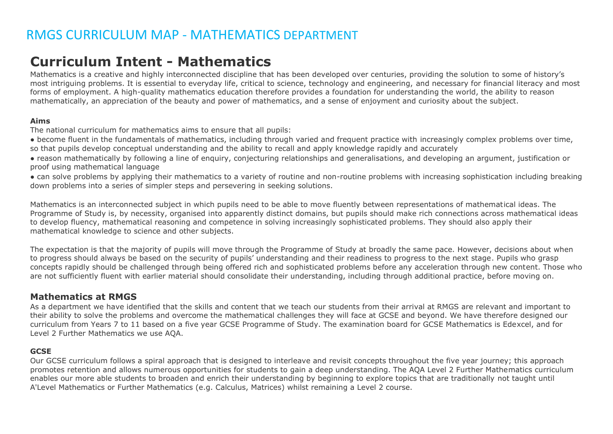### **Curriculum Intent - Mathematics**

Mathematics is a creative and highly interconnected discipline that has been developed over centuries, providing the solution to some of history's most intriguing problems. It is essential to everyday life, critical to science, technology and engineering, and necessary for financial literacy and most forms of employment. A high-quality mathematics education therefore provides a foundation for understanding the world, the ability to reason mathematically, an appreciation of the beauty and power of mathematics, and a sense of enjoyment and curiosity about the subject.

#### **Aims**

The national curriculum for mathematics aims to ensure that all pupils:

- become fluent in the fundamentals of mathematics, including through varied and frequent practice with increasingly complex problems over time, so that pupils develop conceptual understanding and the ability to recall and apply knowledge rapidly and accurately
- reason mathematically by following a line of enquiry, conjecturing relationships and generalisations, and developing an argument, justification or proof using mathematical language
- can solve problems by applying their mathematics to a variety of routine and non-routine problems with increasing sophistication including breaking down problems into a series of simpler steps and persevering in seeking solutions.

Mathematics is an interconnected subject in which pupils need to be able to move fluently between representations of mathematical ideas. The Programme of Study is, by necessity, organised into apparently distinct domains, but pupils should make rich connections across mathematical ideas to develop fluency, mathematical reasoning and competence in solving increasingly sophisticated problems. They should also apply their mathematical knowledge to science and other subjects.

The expectation is that the majority of pupils will move through the Programme of Study at broadly the same pace. However, decisions about when to progress should always be based on the security of pupils' understanding and their readiness to progress to the next stage. Pupils who grasp concepts rapidly should be challenged through being offered rich and sophisticated problems before any acceleration through new content. Those who are not sufficiently fluent with earlier material should consolidate their understanding, including through additional practice, before moving on.

### **Mathematics at RMGS**

As a department we have identified that the skills and content that we teach our students from their arrival at RMGS are relevant and important to their ability to solve the problems and overcome the mathematical challenges they will face at GCSE and beyond. We have therefore designed our curriculum from Years 7 to 11 based on a five year GCSE Programme of Study. The examination board for GCSE Mathematics is Edexcel, and for Level 2 Further Mathematics we use AQA.

#### **GCSE**

Our GCSE curriculum follows a spiral approach that is designed to interleave and revisit concepts throughout the five year journey; this approach promotes retention and allows numerous opportunities for students to gain a deep understanding. The AQA Level 2 Further Mathematics curriculum enables our more able students to broaden and enrich their understanding by beginning to explore topics that are traditionally not taught until A'Level Mathematics or Further Mathematics (e.g. Calculus, Matrices) whilst remaining a Level 2 course.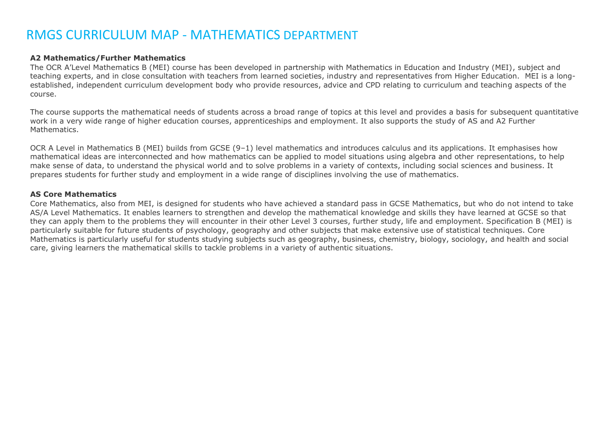#### **A2 Mathematics/Further Mathematics**

The OCR A'Level Mathematics B (MEI) course has been developed in partnership with Mathematics in Education and Industry (MEI), subject and teaching experts, and in close consultation with teachers from learned societies, industry and representatives from Higher Education. MEI is a longestablished, independent curriculum development body who provide resources, advice and CPD relating to curriculum and teaching aspects of the course.

The course supports the mathematical needs of students across a broad range of topics at this level and provides a basis for subsequent quantitative work in a very wide range of higher education courses, apprenticeships and employment. It also supports the study of AS and A2 Further Mathematics.

OCR A Level in Mathematics B (MEI) builds from GCSE (9–1) level mathematics and introduces calculus and its applications. It emphasises how mathematical ideas are interconnected and how mathematics can be applied to model situations using algebra and other representations, to help make sense of data, to understand the physical world and to solve problems in a variety of contexts, including social sciences and business. It prepares students for further study and employment in a wide range of disciplines involving the use of mathematics.

#### **AS Core Mathematics**

Core Mathematics, also from MEI, is designed for students who have achieved a standard pass in GCSE Mathematics, but who do not intend to take AS/A Level Mathematics. It enables learners to strengthen and develop the mathematical knowledge and skills they have learned at GCSE so that they can apply them to the problems they will encounter in their other Level 3 courses, further study, life and employment. Specification B (MEI) is particularly suitable for future students of psychology, geography and other subjects that make extensive use of statistical techniques. Core Mathematics is particularly useful for students studying subjects such as geography, business, chemistry, biology, sociology, and health and social care, giving learners the mathematical skills to tackle problems in a variety of authentic situations.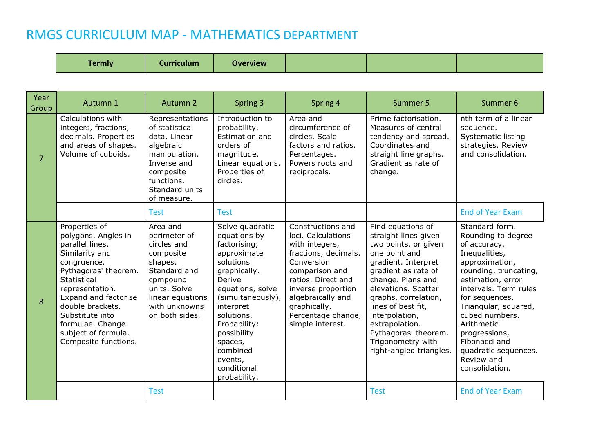| Tormalia<br><b>Overview</b><br><u> Curriculum</u> |
|---------------------------------------------------|
|---------------------------------------------------|

| Year<br>Group  | Autumn 1                                                                                                                                                                                                                                                                                    | Autumn 2                                                                                                                                                           | Spring 3                                                                                                                                                                                                                                                                  | Spring 4                                                                                                                                                                                                                                     | Summer 5                                                                                                                                                                                                                                                                                                                               | Summer 6                                                                                                                                                                                                                                                                                                                           |
|----------------|---------------------------------------------------------------------------------------------------------------------------------------------------------------------------------------------------------------------------------------------------------------------------------------------|--------------------------------------------------------------------------------------------------------------------------------------------------------------------|---------------------------------------------------------------------------------------------------------------------------------------------------------------------------------------------------------------------------------------------------------------------------|----------------------------------------------------------------------------------------------------------------------------------------------------------------------------------------------------------------------------------------------|----------------------------------------------------------------------------------------------------------------------------------------------------------------------------------------------------------------------------------------------------------------------------------------------------------------------------------------|------------------------------------------------------------------------------------------------------------------------------------------------------------------------------------------------------------------------------------------------------------------------------------------------------------------------------------|
| $\overline{7}$ | Calculations with<br>integers, fractions,<br>decimals. Properties<br>and areas of shapes.<br>Volume of cuboids.                                                                                                                                                                             | Representations<br>of statistical<br>data. Linear<br>algebraic<br>manipulation.<br>Inverse and<br>composite<br>functions.<br>Standard units<br>of measure.         | Introduction to<br>probability.<br>Estimation and<br>orders of<br>magnitude.<br>Linear equations.<br>Properties of<br>circles.                                                                                                                                            | Area and<br>circumference of<br>circles. Scale<br>factors and ratios.<br>Percentages.<br>Powers roots and<br>reciprocals.                                                                                                                    | Prime factorisation.<br>Measures of central<br>tendency and spread.<br>Coordinates and<br>straight line graphs.<br>Gradient as rate of<br>change.                                                                                                                                                                                      | nth term of a linear<br>sequence.<br><b>Systematic listing</b><br>strategies. Review<br>and consolidation.                                                                                                                                                                                                                         |
|                |                                                                                                                                                                                                                                                                                             | <b>Test</b>                                                                                                                                                        | <b>Test</b>                                                                                                                                                                                                                                                               |                                                                                                                                                                                                                                              |                                                                                                                                                                                                                                                                                                                                        | <b>End of Year Exam</b>                                                                                                                                                                                                                                                                                                            |
| 8              | Properties of<br>polygons. Angles in<br>parallel lines.<br>Similarity and<br>congruence.<br>Pythagoras' theorem.<br><b>Statistical</b><br>representation.<br>Expand and factorise<br>double brackets.<br>Substitute into<br>formulae. Change<br>subject of formula.<br>Composite functions. | Area and<br>perimeter of<br>circles and<br>composite<br>shapes.<br>Standard and<br>cpmpound<br>units. Solve<br>linear equations<br>with unknowns<br>on both sides. | Solve quadratic<br>equations by<br>factorising;<br>approximate<br>solutions<br>graphically.<br>Derive<br>equations, solve<br>(simultaneously),<br>interpret<br>solutions.<br>Probability:<br>possibility<br>spaces,<br>combined<br>events,<br>conditional<br>probability. | Constructions and<br>loci. Calculations<br>with integers,<br>fractions, decimals.<br>Conversion<br>comparison and<br>ratios. Direct and<br>inverse proportion<br>algebraically and<br>graphically.<br>Percentage change,<br>simple interest. | Find equations of<br>straight lines given<br>two points, or given<br>one point and<br>gradient. Interpret<br>gradient as rate of<br>change. Plans and<br>elevations. Scatter<br>graphs, correlation,<br>lines of best fit,<br>interpolation,<br>extrapolation.<br>Pythagoras' theorem.<br>Trigonometry with<br>right-angled triangles. | Standard form.<br>Rounding to degree<br>of accuracy.<br>Inequalities,<br>approximation,<br>rounding, truncating,<br>estimation, error<br>intervals. Term rules<br>for sequences.<br>Triangular, squared,<br>cubed numbers.<br>Arithmetic<br>progressions,<br>Fibonacci and<br>quadratic sequences.<br>Review and<br>consolidation. |
|                |                                                                                                                                                                                                                                                                                             | <b>Test</b>                                                                                                                                                        |                                                                                                                                                                                                                                                                           |                                                                                                                                                                                                                                              | <b>Test</b>                                                                                                                                                                                                                                                                                                                            | <b>End of Year Exam</b>                                                                                                                                                                                                                                                                                                            |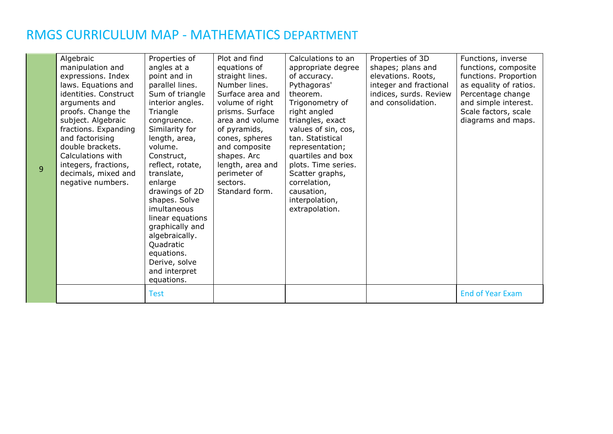9

| Algebraic<br>manipulation and<br>expressions. Index<br>laws. Equations and<br>identities. Construct<br>arguments and<br>proofs. Change the<br>subject. Algebraic<br>fractions. Expanding<br>and factorising<br>double brackets.<br>Calculations with<br>integers, fractions,<br>decimals, mixed and<br>negative numbers. | Properties of<br>angles at a<br>point and in<br>parallel lines.<br>Sum of triangle<br>interior angles.<br>Triangle<br>congruence.<br>Similarity for<br>length, area,<br>volume.<br>Construct,<br>reflect, rotate,<br>translate,<br>enlarge<br>drawings of 2D<br>shapes. Solve<br>imultaneous<br>linear equations<br>graphically and<br>algebraically.<br>Quadratic<br>equations.<br>Derive, solve<br>and interpret<br>equations. | Plot and find<br>equations of<br>straight lines.<br>Number lines.<br>Surface area and<br>volume of right<br>prisms. Surface<br>area and volume<br>of pyramids,<br>cones, spheres<br>and composite<br>shapes. Arc<br>length, area and<br>perimeter of<br>sectors.<br>Standard form. | Calculations to an<br>appropriate degree<br>of accuracy.<br>Pythagoras'<br>theorem.<br>Trigonometry of<br>right angled<br>triangles, exact<br>values of sin, cos,<br>tan. Statistical<br>representation;<br>quartiles and box<br>plots. Time series.<br>Scatter graphs,<br>correlation,<br>causation,<br>interpolation,<br>extrapolation. | Properties of 3D<br>shapes; plans and<br>elevations. Roots,<br>integer and fractional<br>indices, surds. Review<br>and consolidation. | Functions, inverse<br>functions, composite<br>functions. Proportion<br>as equality of ratios.<br>Percentage change<br>and simple interest.<br>Scale factors, scale<br>diagrams and maps. |
|--------------------------------------------------------------------------------------------------------------------------------------------------------------------------------------------------------------------------------------------------------------------------------------------------------------------------|----------------------------------------------------------------------------------------------------------------------------------------------------------------------------------------------------------------------------------------------------------------------------------------------------------------------------------------------------------------------------------------------------------------------------------|------------------------------------------------------------------------------------------------------------------------------------------------------------------------------------------------------------------------------------------------------------------------------------|-------------------------------------------------------------------------------------------------------------------------------------------------------------------------------------------------------------------------------------------------------------------------------------------------------------------------------------------|---------------------------------------------------------------------------------------------------------------------------------------|------------------------------------------------------------------------------------------------------------------------------------------------------------------------------------------|
|                                                                                                                                                                                                                                                                                                                          | <b>Test</b>                                                                                                                                                                                                                                                                                                                                                                                                                      |                                                                                                                                                                                                                                                                                    |                                                                                                                                                                                                                                                                                                                                           |                                                                                                                                       | <b>End of Year Exam</b>                                                                                                                                                                  |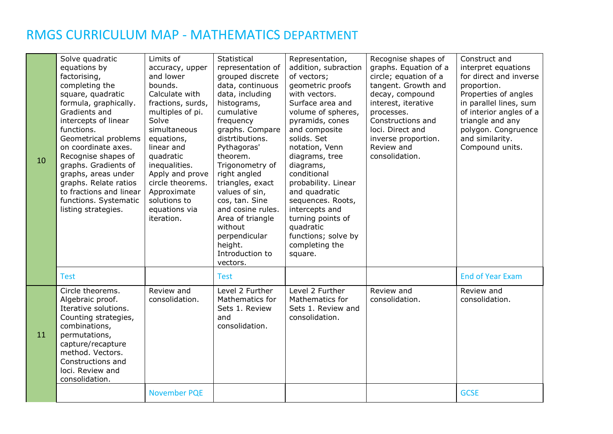| 10 | Solve quadratic<br>equations by<br>factorising,<br>completing the<br>square, quadratic<br>formula, graphically.<br>Gradients and<br>intercepts of linear<br>functions.<br>Geometrical problems<br>on coordinate axes.<br>Recognise shapes of<br>graphs. Gradients of<br>graphs, areas under<br>graphs. Relate ratios<br>to fractions and linear<br>functions. Systematic<br>listing strategies. | Limits of<br>accuracy, upper<br>and lower<br>bounds.<br>Calculate with<br>fractions, surds,<br>multiples of pi.<br>Solve<br>simultaneous<br>equations,<br>linear and<br>quadratic<br>inequalities.<br>Apply and prove<br>circle theorems.<br>Approximate<br>solutions to<br>equations via<br>iteration. | Statistical<br>representation of<br>grouped discrete<br>data, continuous<br>data, including<br>histograms,<br>cumulative<br>frequency<br>graphs. Compare<br>distrtibutions.<br>Pythagoras'<br>theorem.<br>Trigonometry of<br>right angled<br>triangles, exact<br>values of sin,<br>cos, tan. Sine<br>and cosine rules.<br>Area of triangle<br>without<br>perpendicular<br>height.<br>Introduction to<br>vectors. | Representation,<br>addition, subraction<br>of vectors;<br>geometric proofs<br>with vectors.<br>Surface area and<br>volume of spheres,<br>pyramids, cones<br>and composite<br>solids. Set<br>notation, Venn<br>diagrams, tree<br>diagrams,<br>conditional<br>probability. Linear<br>and quadratic<br>sequences. Roots,<br>intercepts and<br>turning points of<br>quadratic<br>functions; solve by<br>completing the<br>square. | Recognise shapes of<br>graphs. Equation of a<br>circle; equation of a<br>tangent. Growth and<br>decay, compound<br>interest, iterative<br>processes.<br>Constructions and<br>loci. Direct and<br>inverse proportion.<br>Review and<br>consolidation. | Construct and<br>interpret equations<br>for direct and inverse<br>proportion.<br>Properties of angles<br>in parallel lines, sum<br>of interior angles of a<br>triangle and any<br>polygon. Congruence<br>and similarity.<br>Compound units. |
|----|-------------------------------------------------------------------------------------------------------------------------------------------------------------------------------------------------------------------------------------------------------------------------------------------------------------------------------------------------------------------------------------------------|---------------------------------------------------------------------------------------------------------------------------------------------------------------------------------------------------------------------------------------------------------------------------------------------------------|------------------------------------------------------------------------------------------------------------------------------------------------------------------------------------------------------------------------------------------------------------------------------------------------------------------------------------------------------------------------------------------------------------------|-------------------------------------------------------------------------------------------------------------------------------------------------------------------------------------------------------------------------------------------------------------------------------------------------------------------------------------------------------------------------------------------------------------------------------|------------------------------------------------------------------------------------------------------------------------------------------------------------------------------------------------------------------------------------------------------|---------------------------------------------------------------------------------------------------------------------------------------------------------------------------------------------------------------------------------------------|
|    | <b>Test</b>                                                                                                                                                                                                                                                                                                                                                                                     |                                                                                                                                                                                                                                                                                                         | <b>Test</b>                                                                                                                                                                                                                                                                                                                                                                                                      |                                                                                                                                                                                                                                                                                                                                                                                                                               |                                                                                                                                                                                                                                                      | <b>End of Year Exam</b>                                                                                                                                                                                                                     |
| 11 | Circle theorems.<br>Algebraic proof.<br>Iterative solutions.<br>Counting strategies,<br>combinations,<br>permutations,<br>capture/recapture<br>method. Vectors.<br>Constructions and<br>loci. Review and<br>consolidation.                                                                                                                                                                      | Review and<br>consolidation.                                                                                                                                                                                                                                                                            | Level 2 Further<br>Mathematics for<br>Sets 1. Review<br>and<br>consolidation.                                                                                                                                                                                                                                                                                                                                    | Level 2 Further<br>Mathematics for<br>Sets 1. Review and<br>consolidation.                                                                                                                                                                                                                                                                                                                                                    | Review and<br>consolidation.                                                                                                                                                                                                                         | Review and<br>consolidation.                                                                                                                                                                                                                |
|    |                                                                                                                                                                                                                                                                                                                                                                                                 | <b>November PQE</b>                                                                                                                                                                                                                                                                                     |                                                                                                                                                                                                                                                                                                                                                                                                                  |                                                                                                                                                                                                                                                                                                                                                                                                                               |                                                                                                                                                                                                                                                      | <b>GCSE</b>                                                                                                                                                                                                                                 |